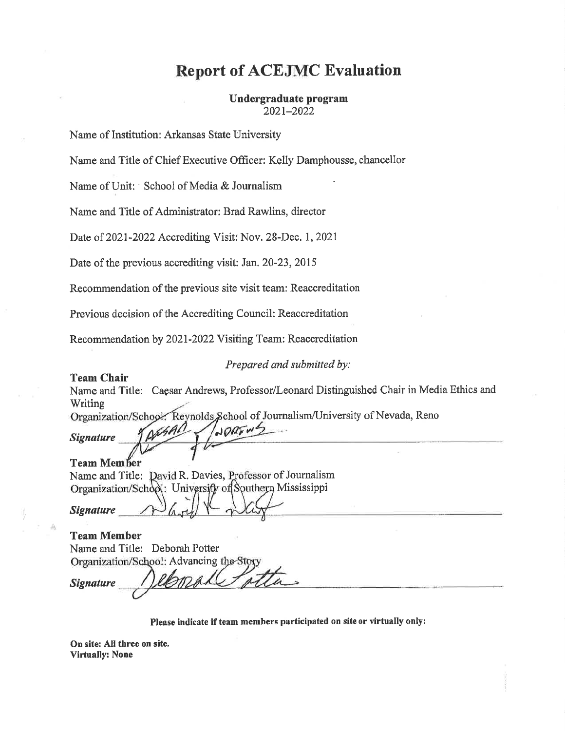# **Report of ACEJMC Evaluation**

#### Undergraduate program 2021-2022

Name of Institution: Arkansas State University

Name and Title of Chief Executive Officer: Kelly Damphousse, chancellor

Name of Unit: School of Media & Journalism

Name and Title of Administrator: Brad Rawlins, director

Date of 2021-2022 Accrediting Visit: Nov. 28-Dec. 1, 2021

Date of the previous accrediting visit: Jan. 20-23, 2015

Recommendation of the previous site visit team: Reaccreditation

Previous decision of the Accrediting Council: Reaccreditation

Recommendation by 2021-2022 Visiting Team: Reaccreditation

Prepared and submitted by:

#### **Team Chair**

Name and Title: Caesar Andrews, Professor/Leonard Distinguished Chair in Media Ethics and Writing

Organization/School: Reynolds, School of Journalism/University of Nevada, Reno JORENZ

**Signature** 

**Team Member** Name and Title: David R. Davies, Professor of Journalism Organization/School: Universify of Southern Mississippi

**Signature** 

| <b>Team Member</b>             |                                          |
|--------------------------------|------------------------------------------|
| Name and Title: Deborah Potter |                                          |
|                                | Organization/School: Advancing the Story |
| <b>Signature</b>               | Nelsmall tatta                           |

Please indicate if team members participated on site or virtually only:

On site: All three on site. **Virtually: None**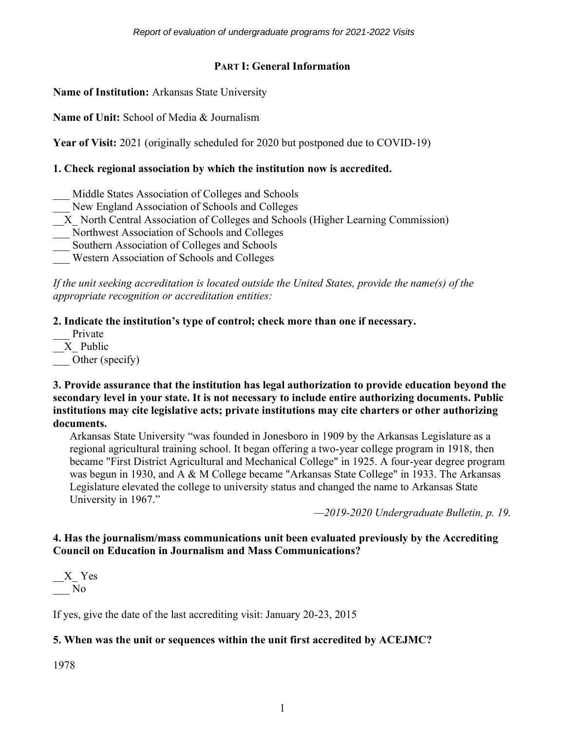## **PART I: General Information**

**Name of Institution:** Arkansas State University

**Name of Unit:** School of Media & Journalism

**Year of Visit:** 2021 (originally scheduled for 2020 but postponed due to COVID-19)

#### **1. Check regional association by which the institution now is accredited.**

- Middle States Association of Colleges and Schools
- New England Association of Schools and Colleges
- \_\_X\_ North Central Association of Colleges and Schools (Higher Learning Commission)
- \_\_\_ Northwest Association of Schools and Colleges
- \_\_\_ Southern Association of Colleges and Schools
- \_\_\_ Western Association of Schools and Colleges

*If the unit seeking accreditation is located outside the United States, provide the name(s) of the appropriate recognition or accreditation entities:* 

**2. Indicate the institution's type of control; check more than one if necessary.**

- Private
- $X$  Public

Other (specify)

**3. Provide assurance that the institution has legal authorization to provide education beyond the secondary level in your state. It is not necessary to include entire authorizing documents. Public institutions may cite legislative acts; private institutions may cite charters or other authorizing documents.**

Arkansas State University "was founded in Jonesboro in 1909 by the Arkansas Legislature as a regional agricultural training school. It began offering a two-year college program in 1918, then became "First District Agricultural and Mechanical College" in 1925. A four-year degree program was begun in 1930, and A & M College became "Arkansas State College" in 1933. The Arkansas Legislature elevated the college to university status and changed the name to Arkansas State University in 1967."

*—2019-2020 Undergraduate Bulletin, p. 19.*

## **4. Has the journalism/mass communications unit been evaluated previously by the Accrediting Council on Education in Journalism and Mass Communications?**

 $X$  Yes \_\_\_ No

If yes, give the date of the last accrediting visit: January 20-23, 2015

## **5. When was the unit or sequences within the unit first accredited by ACEJMC?**

1978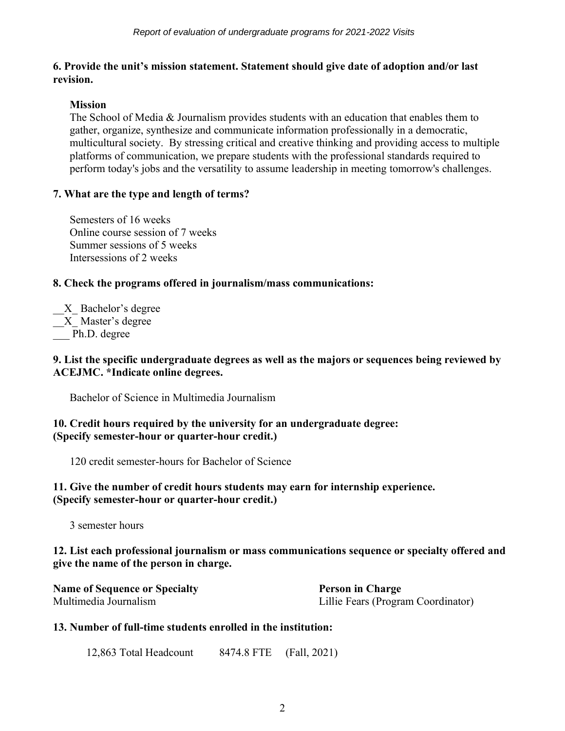#### **6. Provide the unit's mission statement. Statement should give date of adoption and/or last revision.**

## **Mission**

The School of Media & Journalism provides students with an education that enables them to gather, organize, synthesize and communicate information professionally in a democratic, multicultural society. By stressing critical and creative thinking and providing access to multiple platforms of communication, we prepare students with the professional standards required to perform today's jobs and the versatility to assume leadership in meeting tomorrow's challenges.

## **7. What are the type and length of terms?**

Semesters of 16 weeks Online course session of 7 weeks Summer sessions of 5 weeks Intersessions of 2 weeks

## **8. Check the programs offered in journalism/mass communications:**

X Bachelor's degree X Master's degree Ph.D. degree

#### **9. List the specific undergraduate degrees as well as the majors or sequences being reviewed by ACEJMC. \*Indicate online degrees.**

Bachelor of Science in Multimedia Journalism

## **10. Credit hours required by the university for an undergraduate degree: (Specify semester-hour or quarter-hour credit.)**

120 credit semester-hours for Bachelor of Science

## **11. Give the number of credit hours students may earn for internship experience. (Specify semester-hour or quarter-hour credit.)**

3 semester hours

## **12. List each professional journalism or mass communications sequence or specialty offered and give the name of the person in charge.**

| <b>Name of Sequence or Specialty</b> | <b>Person in Charge</b>            |
|--------------------------------------|------------------------------------|
| Multimedia Journalism                | Lillie Fears (Program Coordinator) |

## **13. Number of full-time students enrolled in the institution:**

12,863 Total Headcount 8474.8 FTE (Fall, 2021)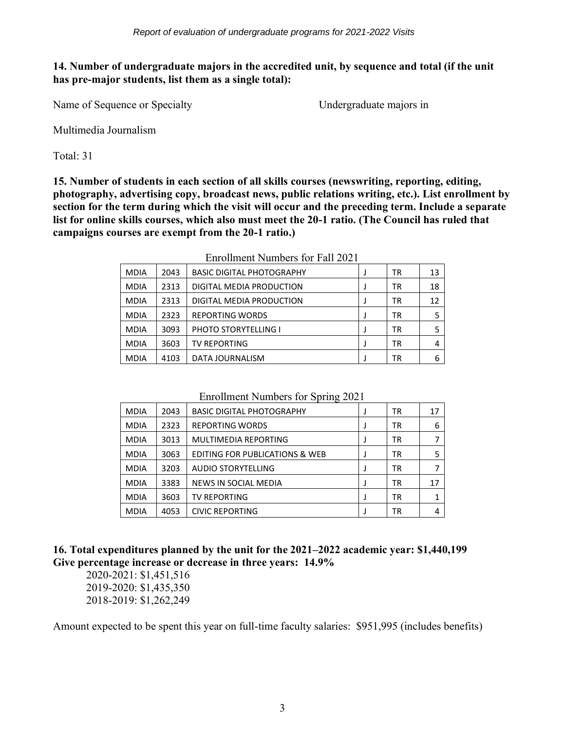## **14. Number of undergraduate majors in the accredited unit, by sequence and total (if the unit has pre-major students, list them as a single total):**

Name of Sequence or Specialty Undergraduate majors in

Multimedia Journalism

Total: 31

**15. Number of students in each section of all skills courses (newswriting, reporting, editing, photography, advertising copy, broadcast news, public relations writing, etc.). List enrollment by section for the term during which the visit will occur and the preceding term. Include a separate list for online skills courses, which also must meet the 20-1 ratio. (The Council has ruled that campaigns courses are exempt from the 20-1 ratio.)**

| <b>MDIA</b> | 2043 | <b>BASIC DIGITAL PHOTOGRAPHY</b> | <b>TR</b> | 13 |
|-------------|------|----------------------------------|-----------|----|
| <b>MDIA</b> | 2313 | DIGITAL MEDIA PRODUCTION         | <b>TR</b> | 18 |
| <b>MDIA</b> | 2313 | DIGITAL MEDIA PRODUCTION         | ΤR        | 12 |
| <b>MDIA</b> | 2323 | <b>REPORTING WORDS</b>           | ΤR        |    |
| <b>MDIA</b> | 3093 | <b>PHOTO STORYTELLING I</b>      | <b>TR</b> |    |
| <b>MDIA</b> | 3603 | <b>TV REPORTING</b>              | <b>TR</b> | 4  |
| <b>MDIA</b> | 4103 | DATA JOURNALISM                  | ΤR        | 6  |

Enrollment Numbers for Fall 2021

Enrollment Numbers for Spring 2021

| <b>MDIA</b> | 2043 | <b>BASIC DIGITAL PHOTOGRAPHY</b>          |   | TR | 17 |
|-------------|------|-------------------------------------------|---|----|----|
| <b>MDIA</b> | 2323 | <b>REPORTING WORDS</b>                    |   | ΤR | 6  |
| <b>MDIA</b> | 3013 | MULTIMEDIA REPORTING                      | J | ΤR |    |
| <b>MDIA</b> | 3063 | <b>EDITING FOR PUBLICATIONS &amp; WEB</b> |   | TR |    |
| <b>MDIA</b> | 3203 | <b>AUDIO STORYTELLING</b>                 |   | ΤR |    |
| <b>MDIA</b> | 3383 | NEWS IN SOCIAL MEDIA                      |   | ΤR | 17 |
| <b>MDIA</b> | 3603 | <b>TV REPORTING</b>                       |   | ΤR |    |
| <b>MDIA</b> | 4053 | <b>CIVIC REPORTING</b>                    |   | ΤR |    |

## **16. Total expenditures planned by the unit for the 2021–2022 academic year: \$1,440,199 Give percentage increase or decrease in three years: 14.9%**

2020-2021: \$1,451,516 2019-2020: \$1,435,350 2018-2019: \$1,262,249

Amount expected to be spent this year on full-time faculty salaries: \$951,995 (includes benefits)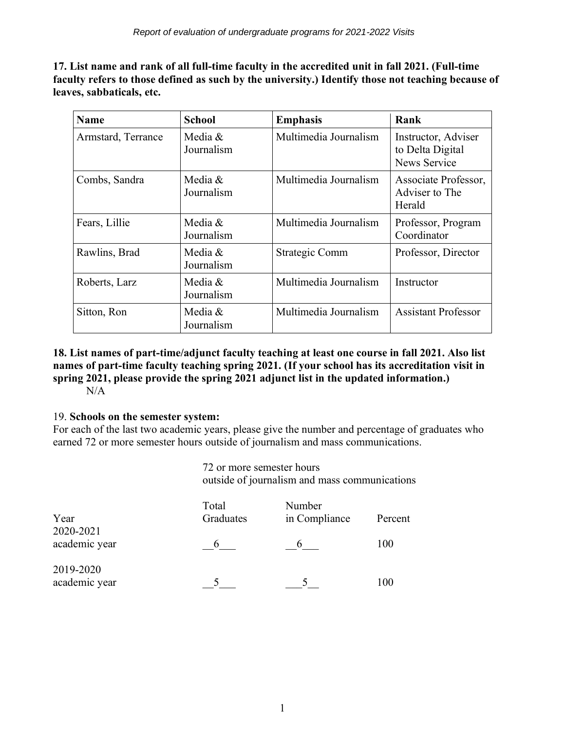**17. List name and rank of all full-time faculty in the accredited unit in fall 2021. (Full-time faculty refers to those defined as such by the university.) Identify those not teaching because of leaves, sabbaticals, etc.**

| <b>Name</b>        | <b>School</b>         | <b>Emphasis</b>       | Rank                                                           |
|--------------------|-----------------------|-----------------------|----------------------------------------------------------------|
| Armstard, Terrance | Media &<br>Journalism | Multimedia Journalism | Instructor, Adviser<br>to Delta Digital<br><b>News Service</b> |
| Combs, Sandra      | Media &<br>Journalism | Multimedia Journalism | Associate Professor,<br>Adviser to The<br>Herald               |
| Fears, Lillie      | Media &<br>Journalism | Multimedia Journalism | Professor, Program<br>Coordinator                              |
| Rawlins, Brad      | Media &<br>Journalism | Strategic Comm        | Professor, Director                                            |
| Roberts, Larz      | Media &<br>Journalism | Multimedia Journalism | Instructor                                                     |
| Sitton, Ron        | Media &<br>Journalism | Multimedia Journalism | <b>Assistant Professor</b>                                     |

# **18. List names of part-time/adjunct faculty teaching at least one course in fall 2021. Also list names of part-time faculty teaching spring 2021. (If your school has its accreditation visit in spring 2021, please provide the spring 2021 adjunct list in the updated information.)**

N/A

## 19. **Schools on the semester system:**

For each of the last two academic years, please give the number and percentage of graduates who earned 72 or more semester hours outside of journalism and mass communications.

> 72 or more semester hours outside of journalism and mass communications

| Year                       | Total<br>Graduates | Number<br>in Compliance | Percent |
|----------------------------|--------------------|-------------------------|---------|
| 2020-2021<br>academic year | n                  |                         | 100     |
| 2019-2020<br>academic year |                    |                         | 100     |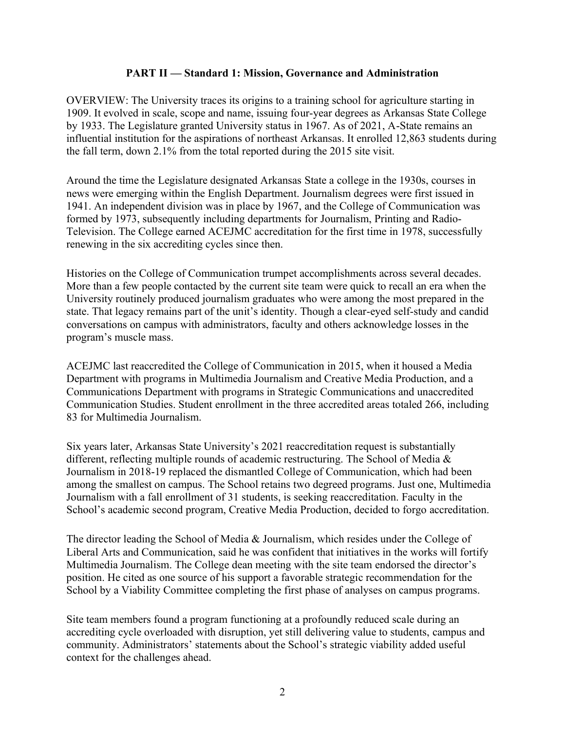#### **PART II — Standard 1: Mission, Governance and Administration**

OVERVIEW: The University traces its origins to a training school for agriculture starting in 1909. It evolved in scale, scope and name, issuing four-year degrees as Arkansas State College by 1933. The Legislature granted University status in 1967. As of 2021, A-State remains an influential institution for the aspirations of northeast Arkansas. It enrolled 12,863 students during the fall term, down 2.1% from the total reported during the 2015 site visit.

Around the time the Legislature designated Arkansas State a college in the 1930s, courses in news were emerging within the English Department. Journalism degrees were first issued in 1941. An independent division was in place by 1967, and the College of Communication was formed by 1973, subsequently including departments for Journalism, Printing and Radio-Television. The College earned ACEJMC accreditation for the first time in 1978, successfully renewing in the six accrediting cycles since then.

Histories on the College of Communication trumpet accomplishments across several decades. More than a few people contacted by the current site team were quick to recall an era when the University routinely produced journalism graduates who were among the most prepared in the state. That legacy remains part of the unit's identity. Though a clear-eyed self-study and candid conversations on campus with administrators, faculty and others acknowledge losses in the program's muscle mass.

ACEJMC last reaccredited the College of Communication in 2015, when it housed a Media Department with programs in Multimedia Journalism and Creative Media Production, and a Communications Department with programs in Strategic Communications and unaccredited Communication Studies. Student enrollment in the three accredited areas totaled 266, including 83 for Multimedia Journalism.

Six years later, Arkansas State University's 2021 reaccreditation request is substantially different, reflecting multiple rounds of academic restructuring. The School of Media & Journalism in 2018-19 replaced the dismantled College of Communication, which had been among the smallest on campus. The School retains two degreed programs. Just one, Multimedia Journalism with a fall enrollment of 31 students, is seeking reaccreditation. Faculty in the School's academic second program, Creative Media Production, decided to forgo accreditation.

The director leading the School of Media & Journalism, which resides under the College of Liberal Arts and Communication, said he was confident that initiatives in the works will fortify Multimedia Journalism. The College dean meeting with the site team endorsed the director's position. He cited as one source of his support a favorable strategic recommendation for the School by a Viability Committee completing the first phase of analyses on campus programs.

Site team members found a program functioning at a profoundly reduced scale during an accrediting cycle overloaded with disruption, yet still delivering value to students, campus and community. Administrators' statements about the School's strategic viability added useful context for the challenges ahead.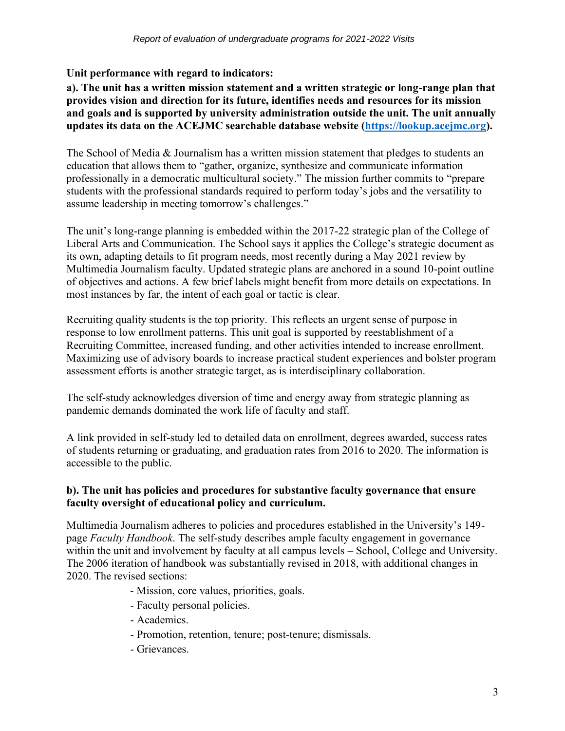## **Unit performance with regard to indicators:**

## **a). The unit has a written mission statement and a written strategic or long-range plan that provides vision and direction for its future, identifies needs and resources for its mission and goals and is supported by university administration outside the unit. The unit annually updates its data on the ACEJMC searchable database website [\(https://lookup.acejmc.org\)](https://lookup.acejmc.org/).**

The School of Media & Journalism has a written mission statement that pledges to students an education that allows them to "gather, organize, synthesize and communicate information professionally in a democratic multicultural society." The mission further commits to "prepare students with the professional standards required to perform today's jobs and the versatility to assume leadership in meeting tomorrow's challenges."

The unit's long-range planning is embedded within the 2017-22 strategic plan of the College of Liberal Arts and Communication. The School says it applies the College's strategic document as its own, adapting details to fit program needs, most recently during a May 2021 review by Multimedia Journalism faculty. Updated strategic plans are anchored in a sound 10-point outline of objectives and actions. A few brief labels might benefit from more details on expectations. In most instances by far, the intent of each goal or tactic is clear.

Recruiting quality students is the top priority. This reflects an urgent sense of purpose in response to low enrollment patterns. This unit goal is supported by reestablishment of a Recruiting Committee, increased funding, and other activities intended to increase enrollment. Maximizing use of advisory boards to increase practical student experiences and bolster program assessment efforts is another strategic target, as is interdisciplinary collaboration.

The self-study acknowledges diversion of time and energy away from strategic planning as pandemic demands dominated the work life of faculty and staff.

A link provided in self-study led to detailed data on enrollment, degrees awarded, success rates of students returning or graduating, and graduation rates from 2016 to 2020. The information is accessible to the public.

## **b). The unit has policies and procedures for substantive faculty governance that ensure faculty oversight of educational policy and curriculum.**

Multimedia Journalism adheres to policies and procedures established in the University's 149 page *Faculty Handbook*. The self-study describes ample faculty engagement in governance within the unit and involvement by faculty at all campus levels – School, College and University. The 2006 iteration of handbook was substantially revised in 2018, with additional changes in 2020. The revised sections:

- Mission, core values, priorities, goals.
- Faculty personal policies.
- Academics.
- Promotion, retention, tenure; post-tenure; dismissals.
- Grievances.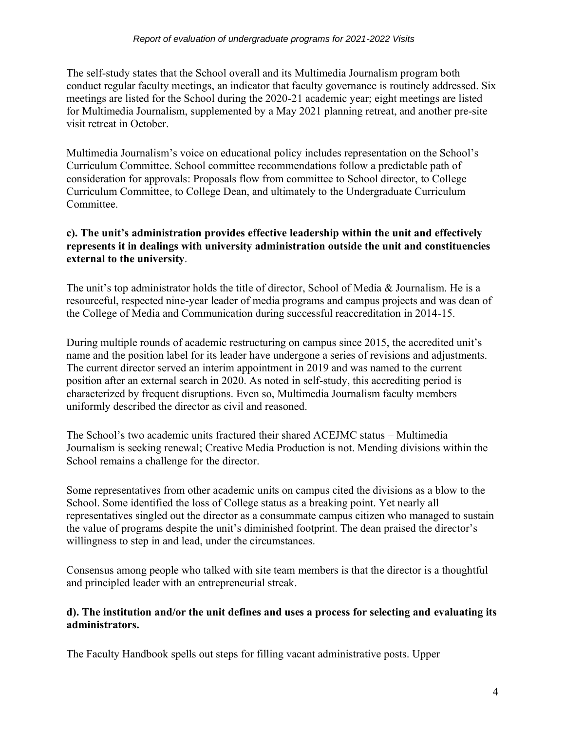The self-study states that the School overall and its Multimedia Journalism program both conduct regular faculty meetings, an indicator that faculty governance is routinely addressed. Six meetings are listed for the School during the 2020-21 academic year; eight meetings are listed for Multimedia Journalism, supplemented by a May 2021 planning retreat, and another pre-site visit retreat in October.

Multimedia Journalism's voice on educational policy includes representation on the School's Curriculum Committee. School committee recommendations follow a predictable path of consideration for approvals: Proposals flow from committee to School director, to College Curriculum Committee, to College Dean, and ultimately to the Undergraduate Curriculum Committee.

## **c). The unit's administration provides effective leadership within the unit and effectively represents it in dealings with university administration outside the unit and constituencies external to the university**.

The unit's top administrator holds the title of director, School of Media & Journalism. He is a resourceful, respected nine-year leader of media programs and campus projects and was dean of the College of Media and Communication during successful reaccreditation in 2014-15.

During multiple rounds of academic restructuring on campus since 2015, the accredited unit's name and the position label for its leader have undergone a series of revisions and adjustments. The current director served an interim appointment in 2019 and was named to the current position after an external search in 2020. As noted in self-study, this accrediting period is characterized by frequent disruptions. Even so, Multimedia Journalism faculty members uniformly described the director as civil and reasoned.

The School's two academic units fractured their shared ACEJMC status – Multimedia Journalism is seeking renewal; Creative Media Production is not. Mending divisions within the School remains a challenge for the director.

Some representatives from other academic units on campus cited the divisions as a blow to the School. Some identified the loss of College status as a breaking point. Yet nearly all representatives singled out the director as a consummate campus citizen who managed to sustain the value of programs despite the unit's diminished footprint. The dean praised the director's willingness to step in and lead, under the circumstances.

Consensus among people who talked with site team members is that the director is a thoughtful and principled leader with an entrepreneurial streak.

#### **d). The institution and/or the unit defines and uses a process for selecting and evaluating its administrators.**

The Faculty Handbook spells out steps for filling vacant administrative posts. Upper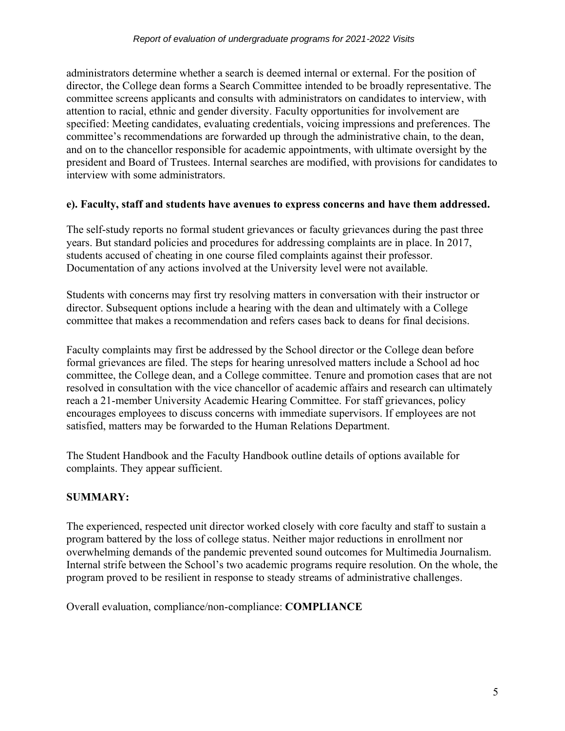administrators determine whether a search is deemed internal or external. For the position of director, the College dean forms a Search Committee intended to be broadly representative. The committee screens applicants and consults with administrators on candidates to interview, with attention to racial, ethnic and gender diversity. Faculty opportunities for involvement are specified: Meeting candidates, evaluating credentials, voicing impressions and preferences. The committee's recommendations are forwarded up through the administrative chain, to the dean, and on to the chancellor responsible for academic appointments, with ultimate oversight by the president and Board of Trustees. Internal searches are modified, with provisions for candidates to interview with some administrators.

#### **e). Faculty, staff and students have avenues to express concerns and have them addressed.**

The self-study reports no formal student grievances or faculty grievances during the past three years. But standard policies and procedures for addressing complaints are in place. In 2017, students accused of cheating in one course filed complaints against their professor. Documentation of any actions involved at the University level were not available.

Students with concerns may first try resolving matters in conversation with their instructor or director. Subsequent options include a hearing with the dean and ultimately with a College committee that makes a recommendation and refers cases back to deans for final decisions.

Faculty complaints may first be addressed by the School director or the College dean before formal grievances are filed. The steps for hearing unresolved matters include a School ad hoc committee, the College dean, and a College committee. Tenure and promotion cases that are not resolved in consultation with the vice chancellor of academic affairs and research can ultimately reach a 21-member University Academic Hearing Committee. For staff grievances, policy encourages employees to discuss concerns with immediate supervisors. If employees are not satisfied, matters may be forwarded to the Human Relations Department.

The Student Handbook and the Faculty Handbook outline details of options available for complaints. They appear sufficient.

## **SUMMARY:**

The experienced, respected unit director worked closely with core faculty and staff to sustain a program battered by the loss of college status. Neither major reductions in enrollment nor overwhelming demands of the pandemic prevented sound outcomes for Multimedia Journalism. Internal strife between the School's two academic programs require resolution. On the whole, the program proved to be resilient in response to steady streams of administrative challenges.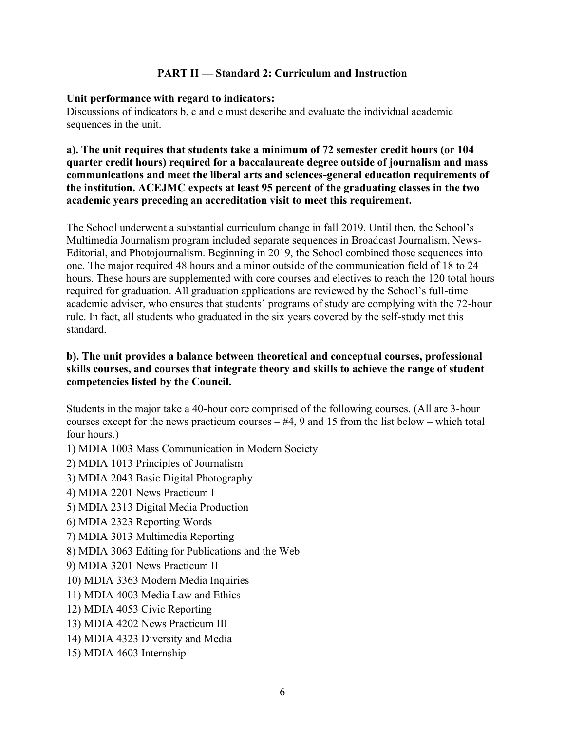#### **PART II — Standard 2: Curriculum and Instruction**

#### **Unit performance with regard to indicators:**

Discussions of indicators b, c and e must describe and evaluate the individual academic sequences in the unit.

**a). The unit requires that students take a minimum of 72 semester credit hours (or 104 quarter credit hours) required for a baccalaureate degree outside of journalism and mass communications and meet the liberal arts and sciences-general education requirements of the institution. ACEJMC expects at least 95 percent of the graduating classes in the two academic years preceding an accreditation visit to meet this requirement.**

The School underwent a substantial curriculum change in fall 2019. Until then, the School's Multimedia Journalism program included separate sequences in Broadcast Journalism, News-Editorial, and Photojournalism. Beginning in 2019, the School combined those sequences into one. The major required 48 hours and a minor outside of the communication field of 18 to 24 hours. These hours are supplemented with core courses and electives to reach the 120 total hours required for graduation. All graduation applications are reviewed by the School's full-time academic adviser, who ensures that students' programs of study are complying with the 72-hour rule. In fact, all students who graduated in the six years covered by the self-study met this standard.

#### **b). The unit provides a balance between theoretical and conceptual courses, professional skills courses, and courses that integrate theory and skills to achieve the range of student competencies listed by the Council.**

Students in the major take a 40-hour core comprised of the following courses. (All are 3-hour courses except for the news practicum courses  $-#4$ , 9 and 15 from the list below – which total four hours.)

- 1) MDIA 1003 Mass Communication in Modern Society
- 2) MDIA 1013 Principles of Journalism
- 3) MDIA 2043 Basic Digital Photography
- 4) MDIA 2201 News Practicum I
- 5) MDIA 2313 Digital Media Production
- 6) MDIA 2323 Reporting Words
- 7) MDIA 3013 Multimedia Reporting
- 8) MDIA 3063 Editing for Publications and the Web
- 9) MDIA 3201 News Practicum II
- 10) MDIA 3363 Modern Media Inquiries
- 11) MDIA 4003 Media Law and Ethics
- 12) MDIA 4053 Civic Reporting
- 13) MDIA 4202 News Practicum III
- 14) MDIA 4323 Diversity and Media
- 15) MDIA 4603 Internship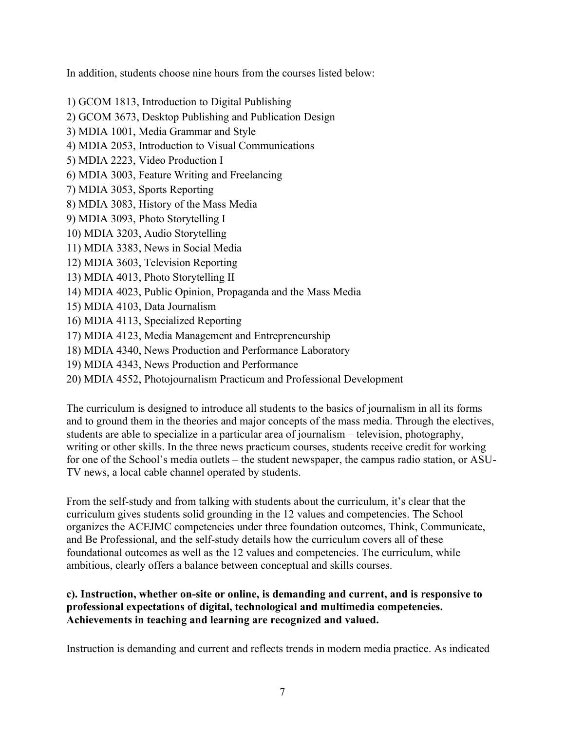In addition, students choose nine hours from the courses listed below:

- 1) GCOM 1813, Introduction to Digital Publishing
- 2) GCOM 3673, Desktop Publishing and Publication Design
- 3) MDIA 1001, Media Grammar and Style
- 4) MDIA 2053, Introduction to Visual Communications
- 5) MDIA 2223, Video Production I
- 6) MDIA 3003, Feature Writing and Freelancing
- 7) MDIA 3053, Sports Reporting
- 8) MDIA 3083, History of the Mass Media
- 9) MDIA 3093, Photo Storytelling I
- 10) MDIA 3203, Audio Storytelling
- 11) MDIA 3383, News in Social Media
- 12) MDIA 3603, Television Reporting
- 13) MDIA 4013, Photo Storytelling II
- 14) MDIA 4023, Public Opinion, Propaganda and the Mass Media
- 15) MDIA 4103, Data Journalism
- 16) MDIA 4113, Specialized Reporting
- 17) MDIA 4123, Media Management and Entrepreneurship
- 18) MDIA 4340, News Production and Performance Laboratory
- 19) MDIA 4343, News Production and Performance
- 20) MDIA 4552, Photojournalism Practicum and Professional Development

The curriculum is designed to introduce all students to the basics of journalism in all its forms and to ground them in the theories and major concepts of the mass media. Through the electives, students are able to specialize in a particular area of journalism – television, photography, writing or other skills. In the three news practicum courses, students receive credit for working for one of the School's media outlets – the student newspaper, the campus radio station, or ASU-TV news, a local cable channel operated by students.

From the self-study and from talking with students about the curriculum, it's clear that the curriculum gives students solid grounding in the 12 values and competencies. The School organizes the ACEJMC competencies under three foundation outcomes, Think, Communicate, and Be Professional, and the self-study details how the curriculum covers all of these foundational outcomes as well as the 12 values and competencies. The curriculum, while ambitious, clearly offers a balance between conceptual and skills courses.

## **c). Instruction, whether on-site or online, is demanding and current, and is responsive to professional expectations of digital, technological and multimedia competencies. Achievements in teaching and learning are recognized and valued.**

Instruction is demanding and current and reflects trends in modern media practice. As indicated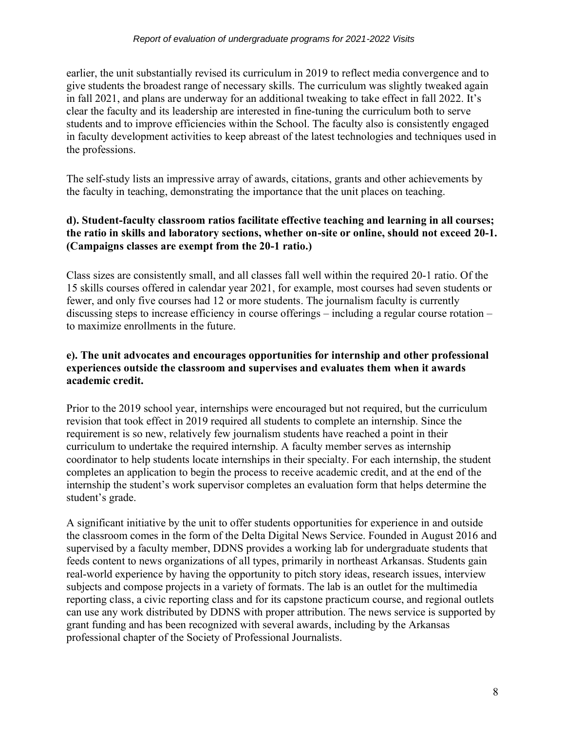earlier, the unit substantially revised its curriculum in 2019 to reflect media convergence and to give students the broadest range of necessary skills. The curriculum was slightly tweaked again in fall 2021, and plans are underway for an additional tweaking to take effect in fall 2022. It's clear the faculty and its leadership are interested in fine-tuning the curriculum both to serve students and to improve efficiencies within the School. The faculty also is consistently engaged in faculty development activities to keep abreast of the latest technologies and techniques used in the professions.

The self-study lists an impressive array of awards, citations, grants and other achievements by the faculty in teaching, demonstrating the importance that the unit places on teaching.

## **d). Student-faculty classroom ratios facilitate effective teaching and learning in all courses; the ratio in skills and laboratory sections, whether on-site or online, should not exceed 20-1. (Campaigns classes are exempt from the 20-1 ratio.)**

Class sizes are consistently small, and all classes fall well within the required 20-1 ratio. Of the 15 skills courses offered in calendar year 2021, for example, most courses had seven students or fewer, and only five courses had 12 or more students. The journalism faculty is currently discussing steps to increase efficiency in course offerings – including a regular course rotation – to maximize enrollments in the future.

## **e). The unit advocates and encourages opportunities for internship and other professional experiences outside the classroom and supervises and evaluates them when it awards academic credit.**

Prior to the 2019 school year, internships were encouraged but not required, but the curriculum revision that took effect in 2019 required all students to complete an internship. Since the requirement is so new, relatively few journalism students have reached a point in their curriculum to undertake the required internship. A faculty member serves as internship coordinator to help students locate internships in their specialty. For each internship, the student completes an application to begin the process to receive academic credit, and at the end of the internship the student's work supervisor completes an evaluation form that helps determine the student's grade.

A significant initiative by the unit to offer students opportunities for experience in and outside the classroom comes in the form of the Delta Digital News Service. Founded in August 2016 and supervised by a faculty member, DDNS provides a working lab for undergraduate students that feeds content to news organizations of all types, primarily in northeast Arkansas. Students gain real-world experience by having the opportunity to pitch story ideas, research issues, interview subjects and compose projects in a variety of formats. The lab is an outlet for the multimedia reporting class, a civic reporting class and for its capstone practicum course, and regional outlets can use any work distributed by DDNS with proper attribution. The news service is supported by grant funding and has been recognized with several awards, including by the Arkansas professional chapter of the Society of Professional Journalists.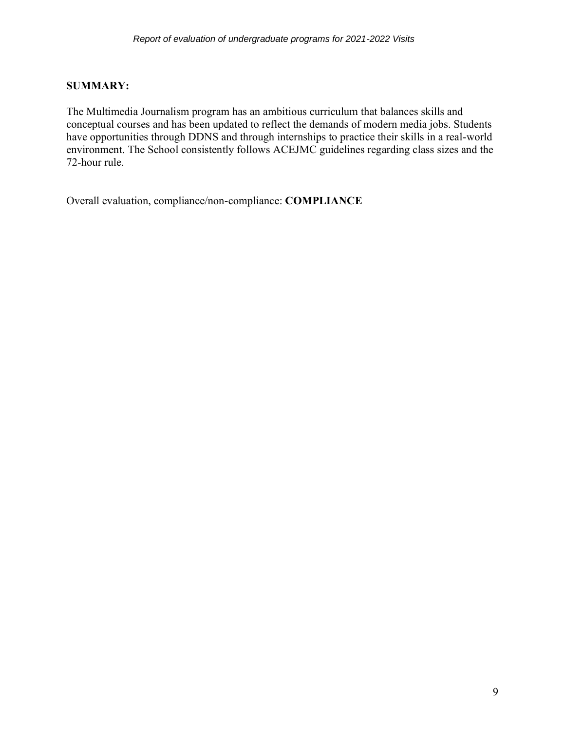## **SUMMARY:**

The Multimedia Journalism program has an ambitious curriculum that balances skills and conceptual courses and has been updated to reflect the demands of modern media jobs. Students have opportunities through DDNS and through internships to practice their skills in a real-world environment. The School consistently follows ACEJMC guidelines regarding class sizes and the 72-hour rule.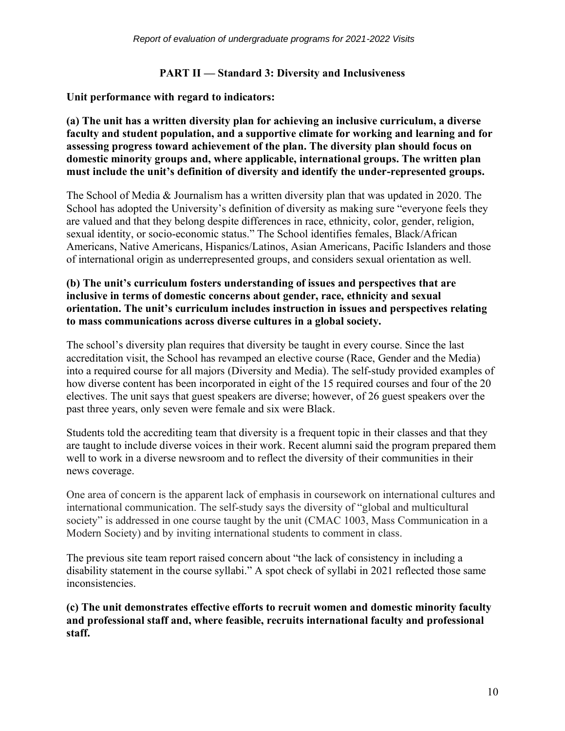## **PART II — Standard 3: Diversity and Inclusiveness**

**Unit performance with regard to indicators:** 

**(a) The unit has a written diversity plan for achieving an inclusive curriculum, a diverse faculty and student population, and a supportive climate for working and learning and for assessing progress toward achievement of the plan. The diversity plan should focus on domestic minority groups and, where applicable, international groups. The written plan must include the unit's definition of diversity and identify the under-represented groups.**

The School of Media & Journalism has a written diversity plan that was updated in 2020. The School has adopted the University's definition of diversity as making sure "everyone feels they are valued and that they belong despite differences in race, ethnicity, color, gender, religion, sexual identity, or socio-economic status." The School identifies females, Black/African Americans, Native Americans, Hispanics/Latinos, Asian Americans, Pacific Islanders and those of international origin as underrepresented groups, and considers sexual orientation as well.

## **(b) The unit's curriculum fosters understanding of issues and perspectives that are inclusive in terms of domestic concerns about gender, race, ethnicity and sexual orientation. The unit's curriculum includes instruction in issues and perspectives relating to mass communications across diverse cultures in a global society.**

The school's diversity plan requires that diversity be taught in every course. Since the last accreditation visit, the School has revamped an elective course (Race, Gender and the Media) into a required course for all majors (Diversity and Media). The self-study provided examples of how diverse content has been incorporated in eight of the 15 required courses and four of the 20 electives. The unit says that guest speakers are diverse; however, of 26 guest speakers over the past three years, only seven were female and six were Black.

Students told the accrediting team that diversity is a frequent topic in their classes and that they are taught to include diverse voices in their work. Recent alumni said the program prepared them well to work in a diverse newsroom and to reflect the diversity of their communities in their news coverage.

One area of concern is the apparent lack of emphasis in coursework on international cultures and international communication. The self-study says the diversity of "global and multicultural society" is addressed in one course taught by the unit (CMAC 1003, Mass Communication in a Modern Society) and by inviting international students to comment in class.

The previous site team report raised concern about "the lack of consistency in including a disability statement in the course syllabi." A spot check of syllabi in 2021 reflected those same inconsistencies.

**(c) The unit demonstrates effective efforts to recruit women and domestic minority faculty and professional staff and, where feasible, recruits international faculty and professional staff.**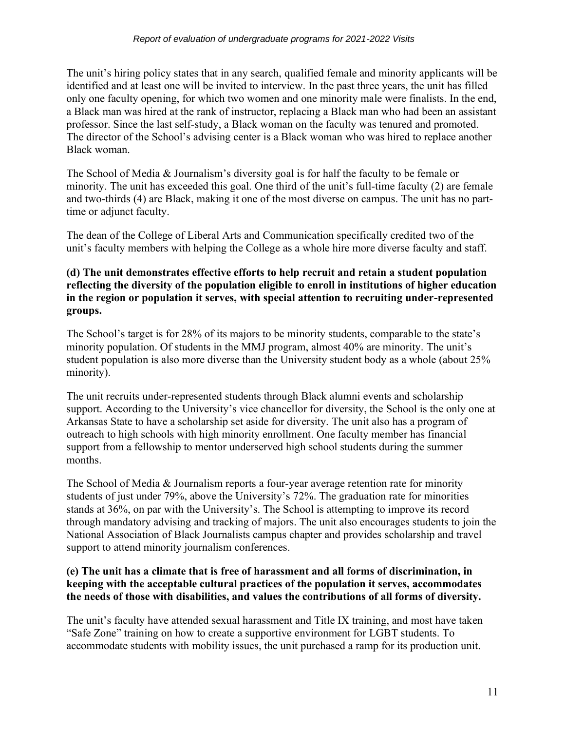The unit's hiring policy states that in any search, qualified female and minority applicants will be identified and at least one will be invited to interview. In the past three years, the unit has filled only one faculty opening, for which two women and one minority male were finalists. In the end, a Black man was hired at the rank of instructor, replacing a Black man who had been an assistant professor. Since the last self-study, a Black woman on the faculty was tenured and promoted. The director of the School's advising center is a Black woman who was hired to replace another Black woman.

The School of Media & Journalism's diversity goal is for half the faculty to be female or minority. The unit has exceeded this goal. One third of the unit's full-time faculty (2) are female and two-thirds (4) are Black, making it one of the most diverse on campus. The unit has no parttime or adjunct faculty.

The dean of the College of Liberal Arts and Communication specifically credited two of the unit's faculty members with helping the College as a whole hire more diverse faculty and staff.

#### **(d) The unit demonstrates effective efforts to help recruit and retain a student population reflecting the diversity of the population eligible to enroll in institutions of higher education in the region or population it serves, with special attention to recruiting under-represented groups.**

The School's target is for 28% of its majors to be minority students, comparable to the state's minority population. Of students in the MMJ program, almost 40% are minority. The unit's student population is also more diverse than the University student body as a whole (about 25% minority).

The unit recruits under-represented students through Black alumni events and scholarship support. According to the University's vice chancellor for diversity, the School is the only one at Arkansas State to have a scholarship set aside for diversity. The unit also has a program of outreach to high schools with high minority enrollment. One faculty member has financial support from a fellowship to mentor underserved high school students during the summer months.

The School of Media & Journalism reports a four-year average retention rate for minority students of just under 79%, above the University's 72%. The graduation rate for minorities stands at 36%, on par with the University's. The School is attempting to improve its record through mandatory advising and tracking of majors. The unit also encourages students to join the National Association of Black Journalists campus chapter and provides scholarship and travel support to attend minority journalism conferences.

## **(e) The unit has a climate that is free of harassment and all forms of discrimination, in keeping with the acceptable cultural practices of the population it serves, accommodates the needs of those with disabilities, and values the contributions of all forms of diversity.**

The unit's faculty have attended sexual harassment and Title IX training, and most have taken "Safe Zone" training on how to create a supportive environment for LGBT students. To accommodate students with mobility issues, the unit purchased a ramp for its production unit.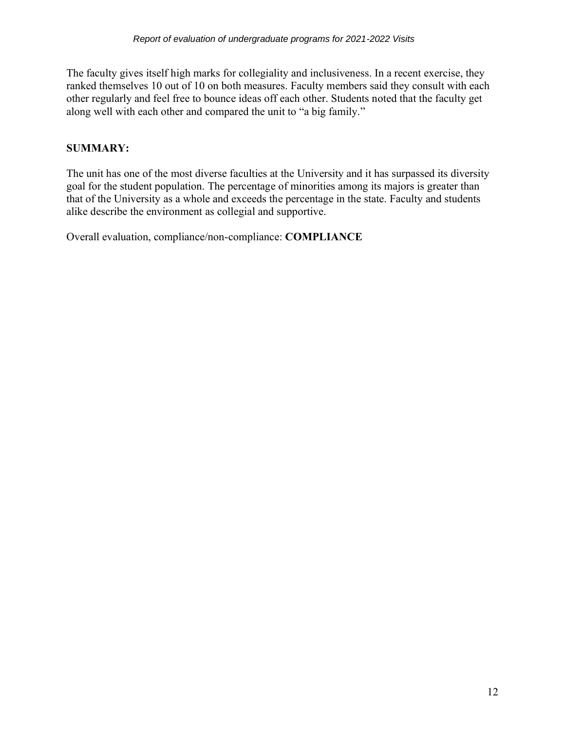The faculty gives itself high marks for collegiality and inclusiveness. In a recent exercise, they ranked themselves 10 out of 10 on both measures. Faculty members said they consult with each other regularly and feel free to bounce ideas off each other. Students noted that the faculty get along well with each other and compared the unit to "a big family."

## **SUMMARY:**

The unit has one of the most diverse faculties at the University and it has surpassed its diversity goal for the student population. The percentage of minorities among its majors is greater than that of the University as a whole and exceeds the percentage in the state. Faculty and students alike describe the environment as collegial and supportive.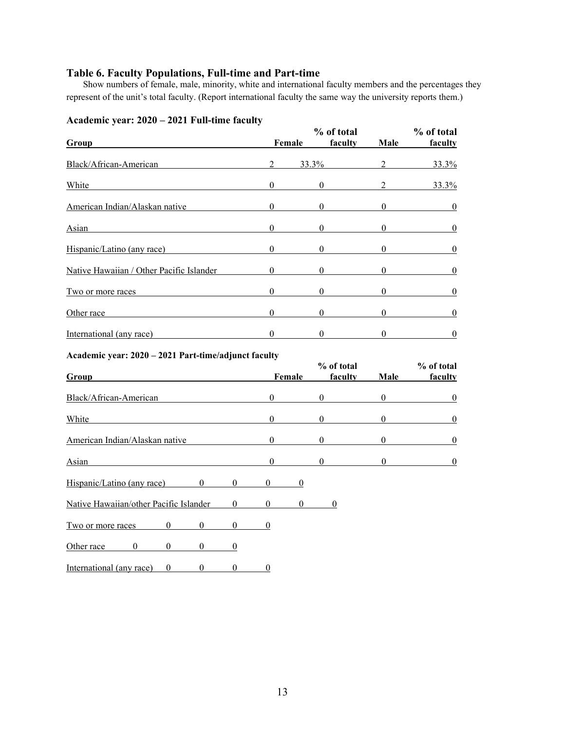## **Table 6. Faculty Populations, Full-time and Part-time**

Show numbers of female, male, minority, white and international faculty members and the percentages they represent of the unit's total faculty. (Report international faculty the same way the university reports them.)

| $A$ Cauchiic ycar. 2020 – 2021 Fun-thiic facuity<br>Group                    |                                                                                                                                                                                                                                                                                                                                    | Female           | % of total<br>faculty | Male             | % of total<br>faculty |
|------------------------------------------------------------------------------|------------------------------------------------------------------------------------------------------------------------------------------------------------------------------------------------------------------------------------------------------------------------------------------------------------------------------------|------------------|-----------------------|------------------|-----------------------|
| Black/African-American                                                       | $\overline{2}$                                                                                                                                                                                                                                                                                                                     | 33.3%            |                       | $\overline{2}$   | 33.3%                 |
| White                                                                        | $\overline{0}$                                                                                                                                                                                                                                                                                                                     | $\mathbf{0}$     |                       | $\overline{2}$   | 33.3%                 |
| American Indian/Alaskan native                                               | $\overline{0}$                                                                                                                                                                                                                                                                                                                     | $\theta$         |                       | $\mathbf{0}$     | $\overline{0}$        |
| <b>Asian</b>                                                                 | $\Omega$                                                                                                                                                                                                                                                                                                                           | $\Omega$         |                       | $\Omega$         | $\boldsymbol{0}$      |
| Hispanic/Latino (any race)                                                   | $\Omega$                                                                                                                                                                                                                                                                                                                           | $\Omega$         |                       | $\Omega$         | $\boldsymbol{0}$      |
| Native Hawaiian / Other Pacific Islander                                     | $\Omega$                                                                                                                                                                                                                                                                                                                           | $\mathbf{0}$     |                       | $\Omega$         | $\boldsymbol{0}$      |
| Two or more races                                                            | $\overline{0}$                                                                                                                                                                                                                                                                                                                     | $\mathbf{0}$     |                       | $\Omega$         | $\boldsymbol{0}$      |
| Other race                                                                   | $\overline{0}$                                                                                                                                                                                                                                                                                                                     | $\boldsymbol{0}$ |                       | $\overline{0}$   | $\overline{0}$        |
| International (any race)                                                     | $\overline{0}$                                                                                                                                                                                                                                                                                                                     | $\theta$         |                       | $\theta$         | $\boldsymbol{0}$      |
| Academic year: 2020 - 2021 Part-time/adjunct faculty                         |                                                                                                                                                                                                                                                                                                                                    |                  |                       |                  |                       |
| Group                                                                        |                                                                                                                                                                                                                                                                                                                                    | Female           | % of total<br>faculty | Male             | % of total<br>faculty |
| Black/African-American                                                       | $\overline{0}$                                                                                                                                                                                                                                                                                                                     | $\mathbf{0}$     |                       | $\boldsymbol{0}$ | $\boldsymbol{0}$      |
| White                                                                        | $\Omega$                                                                                                                                                                                                                                                                                                                           | $\Omega$         |                       | $\overline{0}$   | $\boldsymbol{0}$      |
| American Indian/Alaskan native                                               | $\Omega$                                                                                                                                                                                                                                                                                                                           | $\Omega$         |                       | $\Omega$         | $\overline{0}$        |
| Asian                                                                        | $\mathbf{0}$                                                                                                                                                                                                                                                                                                                       | $\mathbf{0}$     |                       | $\theta$         | $\boldsymbol{0}$      |
| $\mathbf{0}$<br>$\overline{0}$<br>Hispanic/Latino (any race)                 | $\overline{0}$                                                                                                                                                                                                                                                                                                                     | $\boldsymbol{0}$ |                       |                  |                       |
| Native Hawaiian/other Pacific Islander<br>$\theta$                           | $\overline{0}$ and $\overline{0}$ and $\overline{0}$ and $\overline{0}$ and $\overline{0}$ and $\overline{0}$ and $\overline{0}$ and $\overline{0}$ and $\overline{0}$ and $\overline{0}$ and $\overline{0}$ and $\overline{0}$ and $\overline{0}$ and $\overline{0}$ and $\overline{0}$ and $\overline{0}$ and $\overline{0}$ and | $\overline{0}$   | $\bf{0}$              |                  |                       |
| $\theta$<br>$\theta$<br>$\theta$<br>Two or more races                        | $\mathbf{0}$                                                                                                                                                                                                                                                                                                                       |                  |                       |                  |                       |
| $\mathbf{0}$<br>$\mathbf{0}$<br>$\mathbf{0}$<br>Other race<br>$\mathbf{0}$   |                                                                                                                                                                                                                                                                                                                                    |                  |                       |                  |                       |
| International (any race)<br>$\boldsymbol{0}$<br>$\mathbf{0}$<br>$\mathbf{0}$ | $\mathbf{0}$                                                                                                                                                                                                                                                                                                                       |                  |                       |                  |                       |

**Academic year: 2020 – 2021 Full-time faculty**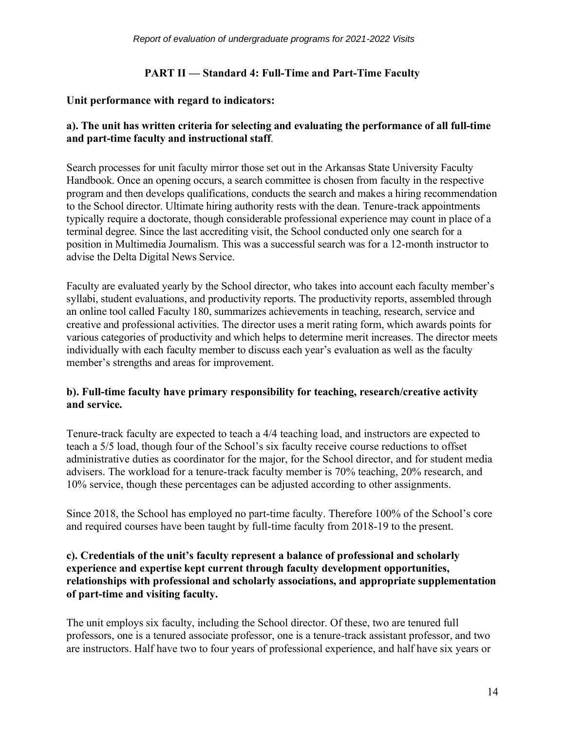## **PART II — Standard 4: Full-Time and Part-Time Faculty**

#### **Unit performance with regard to indicators:**

#### **a). The unit has written criteria for selecting and evaluating the performance of all full-time and part-time faculty and instructional staff**.

Search processes for unit faculty mirror those set out in the Arkansas State University Faculty Handbook. Once an opening occurs, a search committee is chosen from faculty in the respective program and then develops qualifications, conducts the search and makes a hiring recommendation to the School director. Ultimate hiring authority rests with the dean. Tenure-track appointments typically require a doctorate, though considerable professional experience may count in place of a terminal degree. Since the last accrediting visit, the School conducted only one search for a position in Multimedia Journalism. This was a successful search was for a 12-month instructor to advise the Delta Digital News Service.

Faculty are evaluated yearly by the School director, who takes into account each faculty member's syllabi, student evaluations, and productivity reports. The productivity reports, assembled through an online tool called Faculty 180, summarizes achievements in teaching, research, service and creative and professional activities. The director uses a merit rating form, which awards points for various categories of productivity and which helps to determine merit increases. The director meets individually with each faculty member to discuss each year's evaluation as well as the faculty member's strengths and areas for improvement.

## **b). Full-time faculty have primary responsibility for teaching, research/creative activity and service.**

Tenure-track faculty are expected to teach a 4/4 teaching load, and instructors are expected to teach a 5/5 load, though four of the School's six faculty receive course reductions to offset administrative duties as coordinator for the major, for the School director, and for student media advisers. The workload for a tenure-track faculty member is 70% teaching, 20% research, and 10% service, though these percentages can be adjusted according to other assignments.

Since 2018, the School has employed no part-time faculty. Therefore 100% of the School's core and required courses have been taught by full-time faculty from 2018-19 to the present.

#### **c). Credentials of the unit's faculty represent a balance of professional and scholarly experience and expertise kept current through faculty development opportunities, relationships with professional and scholarly associations, and appropriate supplementation of part-time and visiting faculty.**

The unit employs six faculty, including the School director. Of these, two are tenured full professors, one is a tenured associate professor, one is a tenure-track assistant professor, and two are instructors. Half have two to four years of professional experience, and half have six years or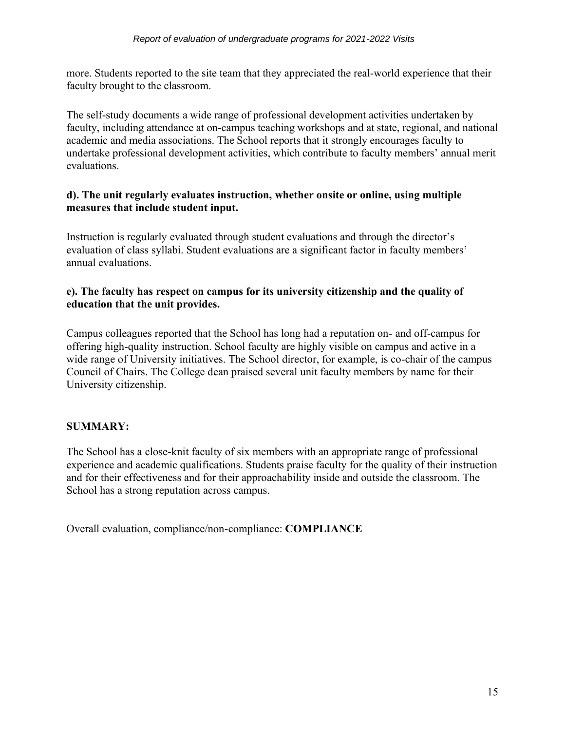more. Students reported to the site team that they appreciated the real-world experience that their faculty brought to the classroom.

The self-study documents a wide range of professional development activities undertaken by faculty, including attendance at on-campus teaching workshops and at state, regional, and national academic and media associations. The School reports that it strongly encourages faculty to undertake professional development activities, which contribute to faculty members' annual merit evaluations.

#### **d). The unit regularly evaluates instruction, whether onsite or online, using multiple measures that include student input.**

Instruction is regularly evaluated through student evaluations and through the director's evaluation of class syllabi. Student evaluations are a significant factor in faculty members' annual evaluations.

## **e). The faculty has respect on campus for its university citizenship and the quality of education that the unit provides.**

Campus colleagues reported that the School has long had a reputation on- and off-campus for offering high-quality instruction. School faculty are highly visible on campus and active in a wide range of University initiatives. The School director, for example, is co-chair of the campus Council of Chairs. The College dean praised several unit faculty members by name for their University citizenship.

## **SUMMARY:**

The School has a close-knit faculty of six members with an appropriate range of professional experience and academic qualifications. Students praise faculty for the quality of their instruction and for their effectiveness and for their approachability inside and outside the classroom. The School has a strong reputation across campus.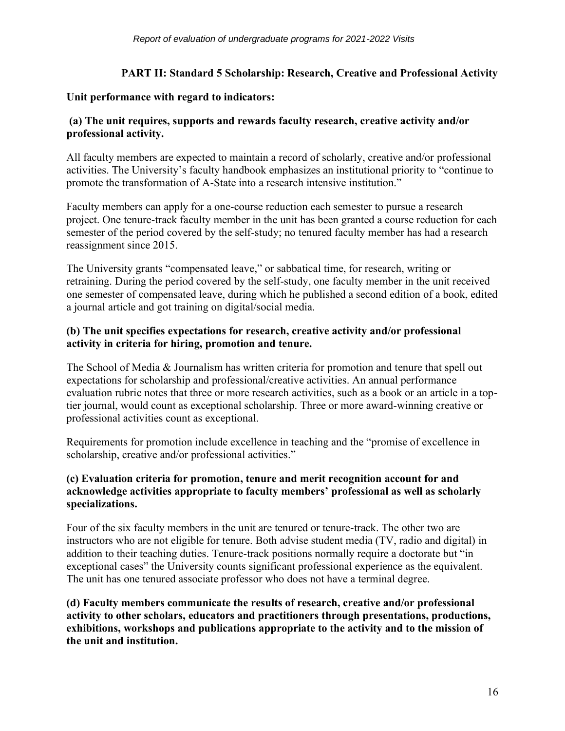## **PART II: Standard 5 Scholarship: Research, Creative and Professional Activity**

#### **Unit performance with regard to indicators:**

#### **(a) The unit requires, supports and rewards faculty research, creative activity and/or professional activity.**

All faculty members are expected to maintain a record of scholarly, creative and/or professional activities. The University's faculty handbook emphasizes an institutional priority to "continue to promote the transformation of A-State into a research intensive institution."

Faculty members can apply for a one-course reduction each semester to pursue a research project. One tenure-track faculty member in the unit has been granted a course reduction for each semester of the period covered by the self-study; no tenured faculty member has had a research reassignment since 2015.

The University grants "compensated leave," or sabbatical time, for research, writing or retraining. During the period covered by the self-study, one faculty member in the unit received one semester of compensated leave, during which he published a second edition of a book, edited a journal article and got training on digital/social media.

## **(b) The unit specifies expectations for research, creative activity and/or professional activity in criteria for hiring, promotion and tenure.**

The School of Media & Journalism has written criteria for promotion and tenure that spell out expectations for scholarship and professional/creative activities. An annual performance evaluation rubric notes that three or more research activities, such as a book or an article in a toptier journal, would count as exceptional scholarship. Three or more award-winning creative or professional activities count as exceptional.

Requirements for promotion include excellence in teaching and the "promise of excellence in scholarship, creative and/or professional activities."

## **(c) Evaluation criteria for promotion, tenure and merit recognition account for and acknowledge activities appropriate to faculty members' professional as well as scholarly specializations.**

Four of the six faculty members in the unit are tenured or tenure-track. The other two are instructors who are not eligible for tenure. Both advise student media (TV, radio and digital) in addition to their teaching duties. Tenure-track positions normally require a doctorate but "in exceptional cases" the University counts significant professional experience as the equivalent. The unit has one tenured associate professor who does not have a terminal degree.

**(d) Faculty members communicate the results of research, creative and/or professional activity to other scholars, educators and practitioners through presentations, productions, exhibitions, workshops and publications appropriate to the activity and to the mission of the unit and institution.**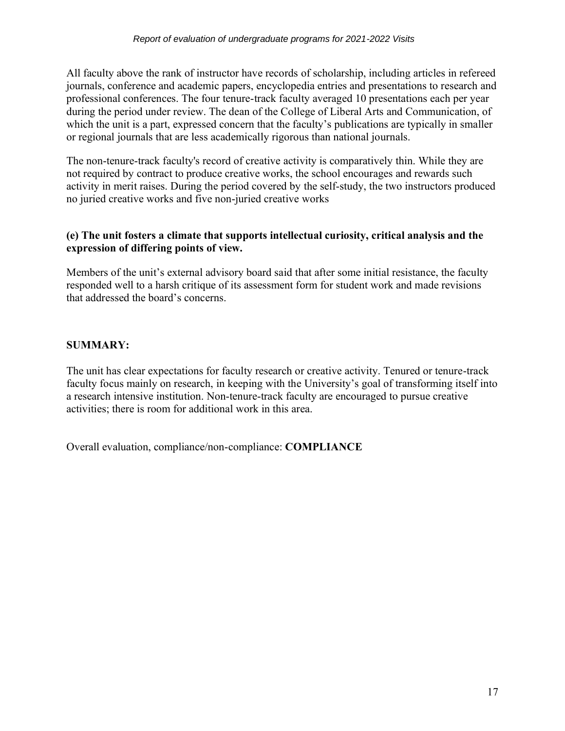All faculty above the rank of instructor have records of scholarship, including articles in refereed journals, conference and academic papers, encyclopedia entries and presentations to research and professional conferences. The four tenure-track faculty averaged 10 presentations each per year during the period under review. The dean of the College of Liberal Arts and Communication, of which the unit is a part, expressed concern that the faculty's publications are typically in smaller or regional journals that are less academically rigorous than national journals.

The non-tenure-track faculty's record of creative activity is comparatively thin. While they are not required by contract to produce creative works, the school encourages and rewards such activity in merit raises. During the period covered by the self-study, the two instructors produced no juried creative works and five non-juried creative works

## **(e) The unit fosters a climate that supports intellectual curiosity, critical analysis and the expression of differing points of view.**

Members of the unit's external advisory board said that after some initial resistance, the faculty responded well to a harsh critique of its assessment form for student work and made revisions that addressed the board's concerns.

## **SUMMARY:**

The unit has clear expectations for faculty research or creative activity. Tenured or tenure-track faculty focus mainly on research, in keeping with the University's goal of transforming itself into a research intensive institution. Non-tenure-track faculty are encouraged to pursue creative activities; there is room for additional work in this area.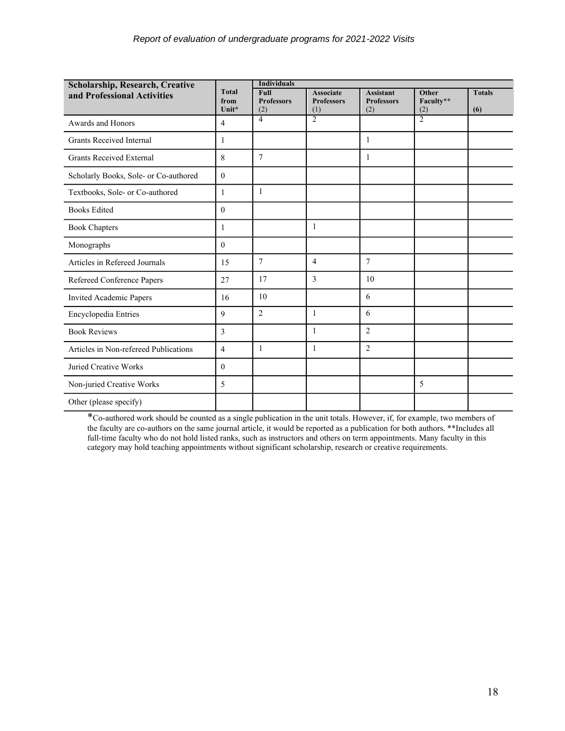| <b>Scholarship, Research, Creative</b> |                               | <b>Individuals</b>               |                                              |                                              |                           |                      |
|----------------------------------------|-------------------------------|----------------------------------|----------------------------------------------|----------------------------------------------|---------------------------|----------------------|
| and Professional Activities            | <b>Total</b><br>from<br>Unit* | Full<br><b>Professors</b><br>(2) | <b>Associate</b><br><b>Professors</b><br>(1) | <b>Assistant</b><br><b>Professors</b><br>(2) | Other<br>Faculty**<br>(2) | <b>Totals</b><br>(6) |
| Awards and Honors                      | $\overline{4}$                | 4                                | $\overline{2}$                               |                                              | $\overline{2}$            |                      |
| <b>Grants Received Internal</b>        | 1                             |                                  |                                              | 1                                            |                           |                      |
| <b>Grants Received External</b>        | 8                             | $\tau$                           |                                              | 1                                            |                           |                      |
| Scholarly Books, Sole- or Co-authored  | $\mathbf{0}$                  |                                  |                                              |                                              |                           |                      |
| Textbooks, Sole- or Co-authored        | 1                             | 1                                |                                              |                                              |                           |                      |
| <b>Books Edited</b>                    | $\theta$                      |                                  |                                              |                                              |                           |                      |
| <b>Book Chapters</b>                   | 1                             |                                  | 1                                            |                                              |                           |                      |
| Monographs                             | $\theta$                      |                                  |                                              |                                              |                           |                      |
| Articles in Refereed Journals          | 15                            | $\tau$                           | $\overline{4}$                               | $\overline{7}$                               |                           |                      |
| Refereed Conference Papers             | 27                            | 17                               | 3                                            | 10                                           |                           |                      |
| Invited Academic Papers                | 16                            | 10                               |                                              | 6                                            |                           |                      |
| Encyclopedia Entries                   | 9                             | $\overline{2}$                   | $\mathbf{1}$                                 | 6                                            |                           |                      |
| <b>Book Reviews</b>                    | $\overline{3}$                |                                  | $\mathbf{1}$                                 | $\overline{2}$                               |                           |                      |
| Articles in Non-refereed Publications  | $\overline{4}$                | 1                                | $\mathbf{1}$                                 | $\overline{2}$                               |                           |                      |
| Juried Creative Works                  | $\theta$                      |                                  |                                              |                                              |                           |                      |
| Non-juried Creative Works              | 5                             |                                  |                                              |                                              | 5                         |                      |
| Other (please specify)                 |                               |                                  |                                              |                                              |                           |                      |

\*Co-authored work should be counted as a single publication in the unit totals. However, if, for example, two members of the faculty are co-authors on the same journal article, it would be reported as a publication for both authors. \*\*Includes all full-time faculty who do not hold listed ranks, such as instructors and others on term appointments. Many faculty in this category may hold teaching appointments without significant scholarship, research or creative requirements.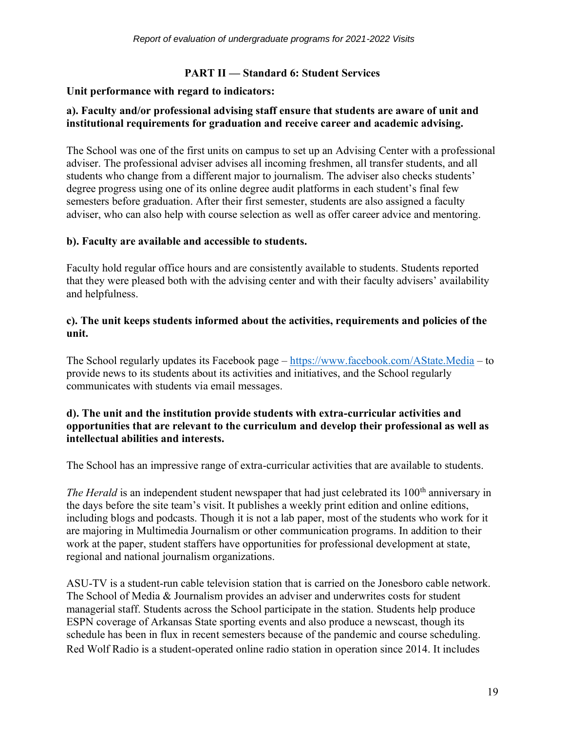## **PART II — Standard 6: Student Services**

#### **Unit performance with regard to indicators:**

#### **a). Faculty and/or professional advising staff ensure that students are aware of unit and institutional requirements for graduation and receive career and academic advising.**

The School was one of the first units on campus to set up an Advising Center with a professional adviser. The professional adviser advises all incoming freshmen, all transfer students, and all students who change from a different major to journalism. The adviser also checks students' degree progress using one of its online degree audit platforms in each student's final few semesters before graduation. After their first semester, students are also assigned a faculty adviser, who can also help with course selection as well as offer career advice and mentoring.

#### **b). Faculty are available and accessible to students.**

Faculty hold regular office hours and are consistently available to students. Students reported that they were pleased both with the advising center and with their faculty advisers' availability and helpfulness.

#### **c). The unit keeps students informed about the activities, requirements and policies of the unit.**

The School regularly updates its Facebook page – <https://www.facebook.com/AState.Media> – to provide news to its students about its activities and initiatives, and the School regularly communicates with students via email messages.

#### **d). The unit and the institution provide students with extra-curricular activities and opportunities that are relevant to the curriculum and develop their professional as well as intellectual abilities and interests.**

The School has an impressive range of extra-curricular activities that are available to students.

*The Herald* is an independent student newspaper that had just celebrated its 100<sup>th</sup> anniversary in the days before the site team's visit. It publishes a weekly print edition and online editions, including blogs and podcasts. Though it is not a lab paper, most of the students who work for it are majoring in Multimedia Journalism or other communication programs. In addition to their work at the paper, student staffers have opportunities for professional development at state, regional and national journalism organizations.

ASU-TV is a student-run cable television station that is carried on the Jonesboro cable network. The School of Media & Journalism provides an adviser and underwrites costs for student managerial staff. Students across the School participate in the station. Students help produce ESPN coverage of Arkansas State sporting events and also produce a newscast, though its schedule has been in flux in recent semesters because of the pandemic and course scheduling. Red Wolf Radio is a student-operated online radio station in operation since 2014. It includes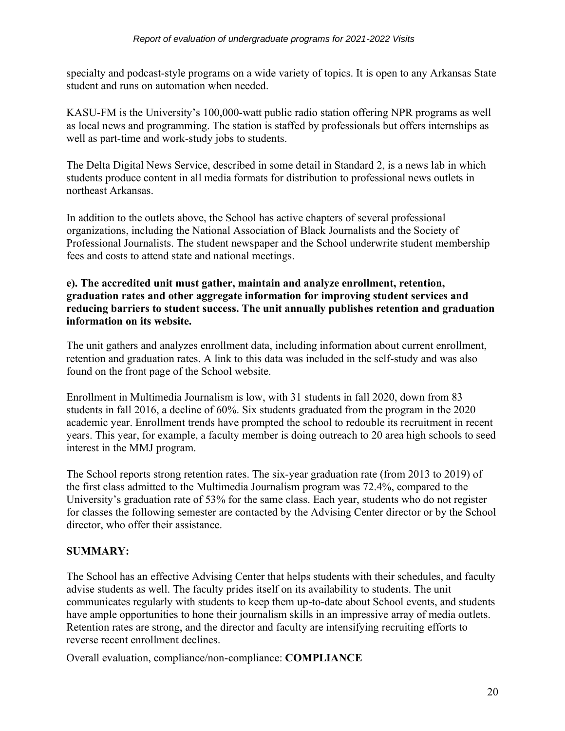specialty and podcast-style programs on a wide variety of topics. It is open to any Arkansas State student and runs on automation when needed.

KASU-FM is the University's 100,000-watt public radio station offering NPR programs as well as local news and programming. The station is staffed by professionals but offers internships as well as part-time and work-study jobs to students.

The Delta Digital News Service, described in some detail in Standard 2, is a news lab in which students produce content in all media formats for distribution to professional news outlets in northeast Arkansas.

In addition to the outlets above, the School has active chapters of several professional organizations, including the National Association of Black Journalists and the Society of Professional Journalists. The student newspaper and the School underwrite student membership fees and costs to attend state and national meetings.

#### **e). The accredited unit must gather, maintain and analyze enrollment, retention, graduation rates and other aggregate information for improving student services and reducing barriers to student success. The unit annually publishes retention and graduation information on its website.**

The unit gathers and analyzes enrollment data, including information about current enrollment, retention and graduation rates. A link to this data was included in the self-study and was also found on the front page of the School website.

Enrollment in Multimedia Journalism is low, with 31 students in fall 2020, down from 83 students in fall 2016, a decline of 60%. Six students graduated from the program in the 2020 academic year. Enrollment trends have prompted the school to redouble its recruitment in recent years. This year, for example, a faculty member is doing outreach to 20 area high schools to seed interest in the MMJ program.

The School reports strong retention rates. The six-year graduation rate (from 2013 to 2019) of the first class admitted to the Multimedia Journalism program was 72.4%, compared to the University's graduation rate of 53% for the same class. Each year, students who do not register for classes the following semester are contacted by the Advising Center director or by the School director, who offer their assistance.

## **SUMMARY:**

The School has an effective Advising Center that helps students with their schedules, and faculty advise students as well. The faculty prides itself on its availability to students. The unit communicates regularly with students to keep them up-to-date about School events, and students have ample opportunities to hone their journalism skills in an impressive array of media outlets. Retention rates are strong, and the director and faculty are intensifying recruiting efforts to reverse recent enrollment declines.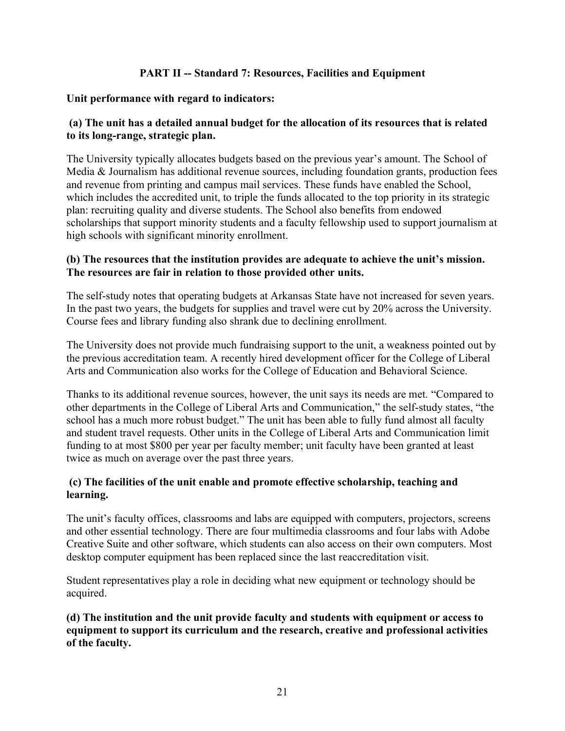## **PART II -- Standard 7: Resources, Facilities and Equipment**

## **Unit performance with regard to indicators:**

## **(a) The unit has a detailed annual budget for the allocation of its resources that is related to its long-range, strategic plan.**

The University typically allocates budgets based on the previous year's amount. The School of Media & Journalism has additional revenue sources, including foundation grants, production fees and revenue from printing and campus mail services. These funds have enabled the School, which includes the accredited unit, to triple the funds allocated to the top priority in its strategic plan: recruiting quality and diverse students. The School also benefits from endowed scholarships that support minority students and a faculty fellowship used to support journalism at high schools with significant minority enrollment.

#### **(b) The resources that the institution provides are adequate to achieve the unit's mission. The resources are fair in relation to those provided other units.**

The self-study notes that operating budgets at Arkansas State have not increased for seven years. In the past two years, the budgets for supplies and travel were cut by 20% across the University. Course fees and library funding also shrank due to declining enrollment.

The University does not provide much fundraising support to the unit, a weakness pointed out by the previous accreditation team. A recently hired development officer for the College of Liberal Arts and Communication also works for the College of Education and Behavioral Science.

Thanks to its additional revenue sources, however, the unit says its needs are met. "Compared to other departments in the College of Liberal Arts and Communication," the self-study states, "the school has a much more robust budget." The unit has been able to fully fund almost all faculty and student travel requests. Other units in the College of Liberal Arts and Communication limit funding to at most \$800 per year per faculty member; unit faculty have been granted at least twice as much on average over the past three years.

## **(c) The facilities of the unit enable and promote effective scholarship, teaching and learning.**

The unit's faculty offices, classrooms and labs are equipped with computers, projectors, screens and other essential technology. There are four multimedia classrooms and four labs with Adobe Creative Suite and other software, which students can also access on their own computers. Most desktop computer equipment has been replaced since the last reaccreditation visit.

Student representatives play a role in deciding what new equipment or technology should be acquired.

**(d) The institution and the unit provide faculty and students with equipment or access to equipment to support its curriculum and the research, creative and professional activities of the faculty.**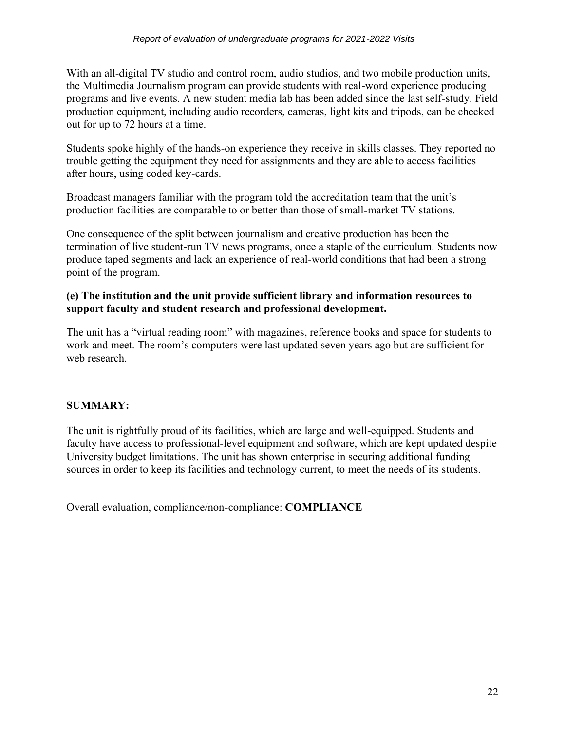With an all-digital TV studio and control room, audio studios, and two mobile production units, the Multimedia Journalism program can provide students with real-word experience producing programs and live events. A new student media lab has been added since the last self-study. Field production equipment, including audio recorders, cameras, light kits and tripods, can be checked out for up to 72 hours at a time.

Students spoke highly of the hands-on experience they receive in skills classes. They reported no trouble getting the equipment they need for assignments and they are able to access facilities after hours, using coded key-cards.

Broadcast managers familiar with the program told the accreditation team that the unit's production facilities are comparable to or better than those of small-market TV stations.

One consequence of the split between journalism and creative production has been the termination of live student-run TV news programs, once a staple of the curriculum. Students now produce taped segments and lack an experience of real-world conditions that had been a strong point of the program.

## **(e) The institution and the unit provide sufficient library and information resources to support faculty and student research and professional development.**

The unit has a "virtual reading room" with magazines, reference books and space for students to work and meet. The room's computers were last updated seven years ago but are sufficient for web research.

## **SUMMARY:**

The unit is rightfully proud of its facilities, which are large and well-equipped. Students and faculty have access to professional-level equipment and software, which are kept updated despite University budget limitations. The unit has shown enterprise in securing additional funding sources in order to keep its facilities and technology current, to meet the needs of its students.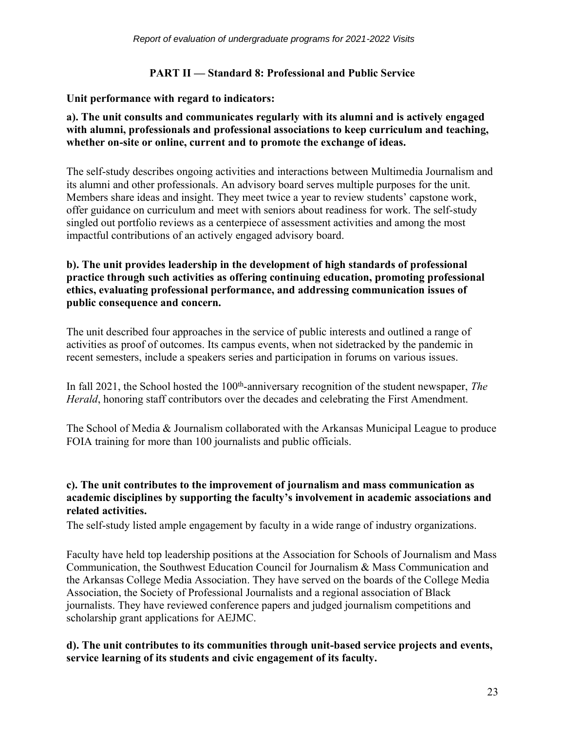## **PART II — Standard 8: Professional and Public Service**

## **Unit performance with regard to indicators:**

## **a). The unit consults and communicates regularly with its alumni and is actively engaged with alumni, professionals and professional associations to keep curriculum and teaching, whether on-site or online, current and to promote the exchange of ideas.**

The self-study describes ongoing activities and interactions between Multimedia Journalism and its alumni and other professionals. An advisory board serves multiple purposes for the unit. Members share ideas and insight. They meet twice a year to review students' capstone work, offer guidance on curriculum and meet with seniors about readiness for work. The self-study singled out portfolio reviews as a centerpiece of assessment activities and among the most impactful contributions of an actively engaged advisory board.

## **b). The unit provides leadership in the development of high standards of professional practice through such activities as offering continuing education, promoting professional ethics, evaluating professional performance, and addressing communication issues of public consequence and concern***.*

The unit described four approaches in the service of public interests and outlined a range of activities as proof of outcomes. Its campus events, when not sidetracked by the pandemic in recent semesters, include a speakers series and participation in forums on various issues.

In fall 2021, the School hosted the 100<sup>th</sup>-anniversary recognition of the student newspaper, *The Herald*, honoring staff contributors over the decades and celebrating the First Amendment.

The School of Media & Journalism collaborated with the Arkansas Municipal League to produce FOIA training for more than 100 journalists and public officials.

## **c). The unit contributes to the improvement of journalism and mass communication as academic disciplines by supporting the faculty's involvement in academic associations and related activities.**

The self-study listed ample engagement by faculty in a wide range of industry organizations.

Faculty have held top leadership positions at the Association for Schools of Journalism and Mass Communication, the Southwest Education Council for Journalism & Mass Communication and the Arkansas College Media Association. They have served on the boards of the College Media Association, the Society of Professional Journalists and a regional association of Black journalists. They have reviewed conference papers and judged journalism competitions and scholarship grant applications for AEJMC.

## **d). The unit contributes to its communities through unit-based service projects and events, service learning of its students and civic engagement of its faculty.**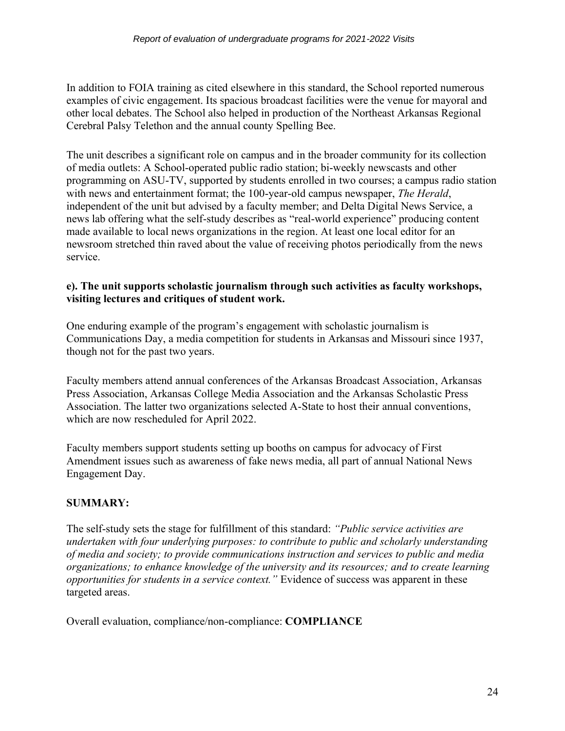In addition to FOIA training as cited elsewhere in this standard, the School reported numerous examples of civic engagement. Its spacious broadcast facilities were the venue for mayoral and other local debates. The School also helped in production of the Northeast Arkansas Regional Cerebral Palsy Telethon and the annual county Spelling Bee.

The unit describes a significant role on campus and in the broader community for its collection of media outlets: A School-operated public radio station; bi-weekly newscasts and other programming on ASU-TV, supported by students enrolled in two courses; a campus radio station with news and entertainment format; the 100-year-old campus newspaper, *The Herald*, independent of the unit but advised by a faculty member; and Delta Digital News Service, a news lab offering what the self-study describes as "real-world experience" producing content made available to local news organizations in the region. At least one local editor for an newsroom stretched thin raved about the value of receiving photos periodically from the news service.

## **e). The unit supports scholastic journalism through such activities as faculty workshops, visiting lectures and critiques of student work.**

One enduring example of the program's engagement with scholastic journalism is Communications Day, a media competition for students in Arkansas and Missouri since 1937, though not for the past two years.

Faculty members attend annual conferences of the Arkansas Broadcast Association, Arkansas Press Association, Arkansas College Media Association and the Arkansas Scholastic Press Association. The latter two organizations selected A-State to host their annual conventions, which are now rescheduled for April 2022.

Faculty members support students setting up booths on campus for advocacy of First Amendment issues such as awareness of fake news media, all part of annual National News Engagement Day.

## **SUMMARY:**

The self-study sets the stage for fulfillment of this standard: *"Public service activities are undertaken with four underlying purposes: to contribute to public and scholarly understanding of media and society; to provide communications instruction and services to public and media organizations; to enhance knowledge of the university and its resources; and to create learning opportunities for students in a service context."* Evidence of success was apparent in these targeted areas.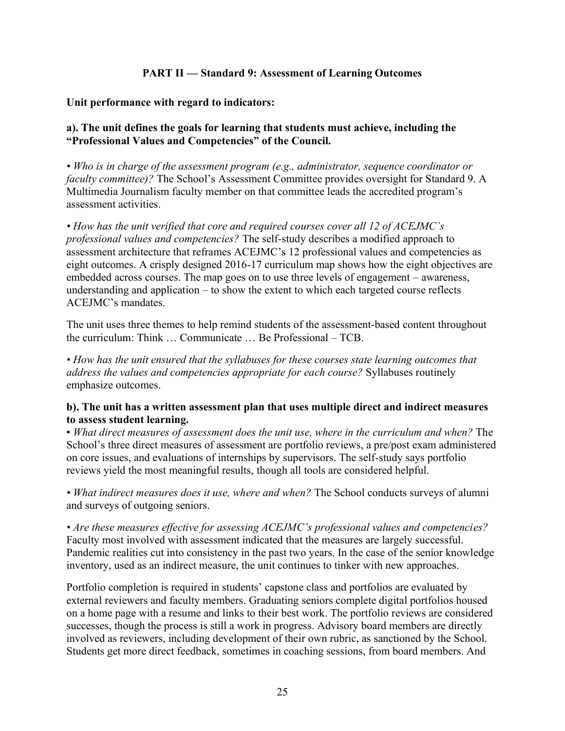## **PART II — Standard 9: Assessment of Learning Outcomes**

#### **Unit performance with regard to indicators:**

#### **a). The unit defines the goals for learning that students must achieve, including the "Professional Values and Competencies" of the Council.**

*• Who is in charge of the assessment program (e.g., administrator, sequence coordinator or faculty committee)?* The School's Assessment Committee provides oversight for Standard 9. A Multimedia Journalism faculty member on that committee leads the accredited program's assessment activities.

*• How has the unit verified that core and required courses cover all 12 of ACEJMC's professional values and competencies?* The self-study describes a modified approach to assessment architecture that reframes ACEJMC's 12 professional values and competencies as eight outcomes. A crisply designed 2016-17 curriculum map shows how the eight objectives are embedded across courses. The map goes on to use three levels of engagement – awareness, understanding and application – to show the extent to which each targeted course reflects ACEJMC's mandates.

The unit uses three themes to help remind students of the assessment-based content throughout the curriculum: Think … Communicate … Be Professional – TCB.

*• How has the unit ensured that the syllabuses for these courses state learning outcomes that address the values and competencies appropriate for each course?* Syllabuses routinely emphasize outcomes.

#### **b). The unit has a written assessment plan that uses multiple direct and indirect measures to assess student learning.**

• *What direct measures of assessment does the unit use, where in the curriculum and when?* The School's three direct measures of assessment are portfolio reviews, a pre/post exam administered on core issues, and evaluations of internships by supervisors. The self-study says portfolio reviews yield the most meaningful results, though all tools are considered helpful.

*• What indirect measures does it use, where and when?* The School conducts surveys of alumni and surveys of outgoing seniors.

*• Are these measures effective for assessing ACEJMC's professional values and competencies?* Faculty most involved with assessment indicated that the measures are largely successful. Pandemic realities cut into consistency in the past two years. In the case of the senior knowledge inventory, used as an indirect measure, the unit continues to tinker with new approaches.

Portfolio completion is required in students' capstone class and portfolios are evaluated by external reviewers and faculty members. Graduating seniors complete digital portfolios housed on a home page with a resume and links to their best work. The portfolio reviews are considered successes, though the process is still a work in progress. Advisory board members are directly involved as reviewers, including development of their own rubric, as sanctioned by the School. Students get more direct feedback, sometimes in coaching sessions, from board members. And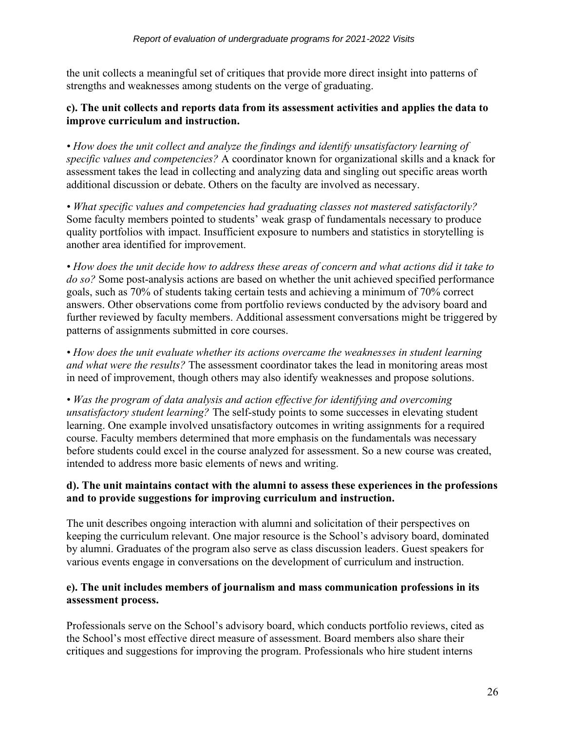the unit collects a meaningful set of critiques that provide more direct insight into patterns of strengths and weaknesses among students on the verge of graduating.

## **c). The unit collects and reports data from its assessment activities and applies the data to improve curriculum and instruction.**

*• How does the unit collect and analyze the findings and identify unsatisfactory learning of specific values and competencies?* A coordinator known for organizational skills and a knack for assessment takes the lead in collecting and analyzing data and singling out specific areas worth additional discussion or debate. Others on the faculty are involved as necessary.

*• What specific values and competencies had graduating classes not mastered satisfactorily?*  Some faculty members pointed to students' weak grasp of fundamentals necessary to produce quality portfolios with impact. Insufficient exposure to numbers and statistics in storytelling is another area identified for improvement.

*• How does the unit decide how to address these areas of concern and what actions did it take to do so?* Some post-analysis actions are based on whether the unit achieved specified performance goals, such as 70% of students taking certain tests and achieving a minimum of 70% correct answers. Other observations come from portfolio reviews conducted by the advisory board and further reviewed by faculty members. Additional assessment conversations might be triggered by patterns of assignments submitted in core courses.

*• How does the unit evaluate whether its actions overcame the weaknesses in student learning and what were the results?* The assessment coordinator takes the lead in monitoring areas most in need of improvement, though others may also identify weaknesses and propose solutions.

*• Was the program of data analysis and action effective for identifying and overcoming unsatisfactory student learning?* The self-study points to some successes in elevating student learning. One example involved unsatisfactory outcomes in writing assignments for a required course. Faculty members determined that more emphasis on the fundamentals was necessary before students could excel in the course analyzed for assessment. So a new course was created, intended to address more basic elements of news and writing.

## **d). The unit maintains contact with the alumni to assess these experiences in the professions and to provide suggestions for improving curriculum and instruction.**

The unit describes ongoing interaction with alumni and solicitation of their perspectives on keeping the curriculum relevant. One major resource is the School's advisory board, dominated by alumni. Graduates of the program also serve as class discussion leaders. Guest speakers for various events engage in conversations on the development of curriculum and instruction.

## **e). The unit includes members of journalism and mass communication professions in its assessment process.**

Professionals serve on the School's advisory board, which conducts portfolio reviews, cited as the School's most effective direct measure of assessment. Board members also share their critiques and suggestions for improving the program. Professionals who hire student interns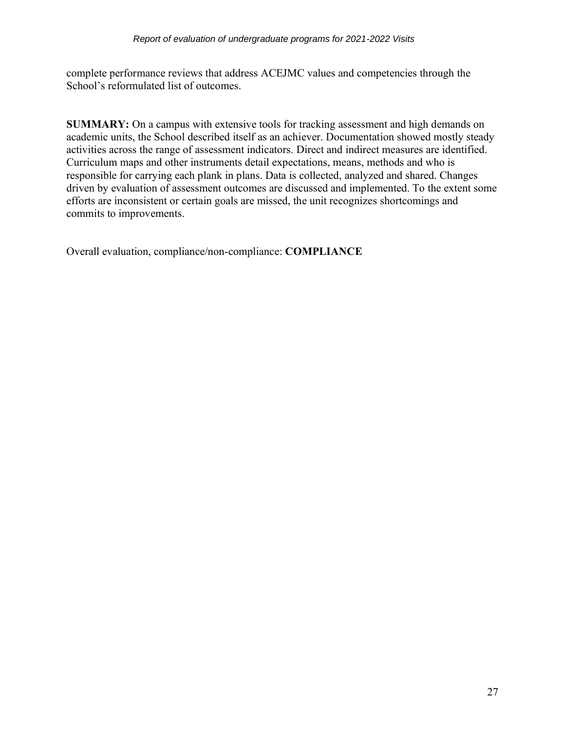complete performance reviews that address ACEJMC values and competencies through the School's reformulated list of outcomes.

**SUMMARY:** On a campus with extensive tools for tracking assessment and high demands on academic units, the School described itself as an achiever. Documentation showed mostly steady activities across the range of assessment indicators. Direct and indirect measures are identified. Curriculum maps and other instruments detail expectations, means, methods and who is responsible for carrying each plank in plans. Data is collected, analyzed and shared. Changes driven by evaluation of assessment outcomes are discussed and implemented. To the extent some efforts are inconsistent or certain goals are missed, the unit recognizes shortcomings and commits to improvements.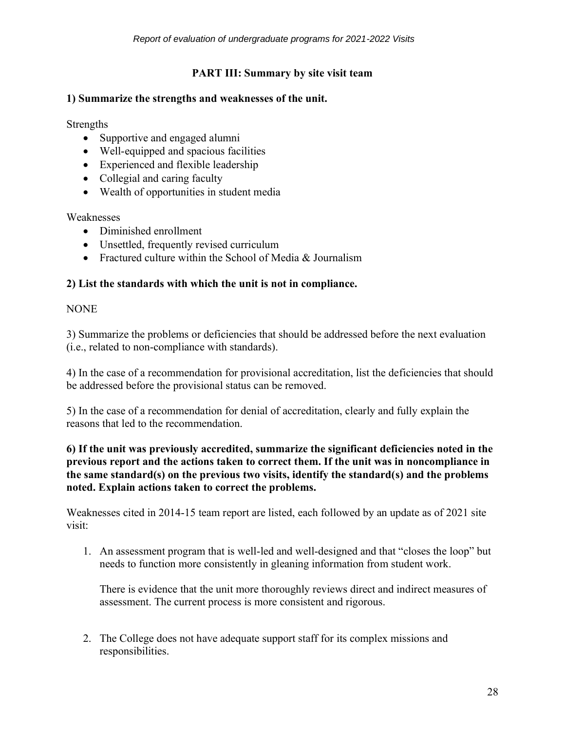## **PART III: Summary by site visit team**

#### **1) Summarize the strengths and weaknesses of the unit.**

Strengths

- Supportive and engaged alumni
- Well-equipped and spacious facilities
- Experienced and flexible leadership
- Collegial and caring faculty
- Wealth of opportunities in student media

Weaknesses

- Diminished enrollment
- Unsettled, frequently revised curriculum
- Fractured culture within the School of Media & Journalism

## **2) List the standards with which the unit is not in compliance.**

NONE

3) Summarize the problems or deficiencies that should be addressed before the next evaluation (i.e., related to non-compliance with standards).

4) In the case of a recommendation for provisional accreditation, list the deficiencies that should be addressed before the provisional status can be removed.

5) In the case of a recommendation for denial of accreditation, clearly and fully explain the reasons that led to the recommendation.

#### **6) If the unit was previously accredited, summarize the significant deficiencies noted in the previous report and the actions taken to correct them. If the unit was in noncompliance in the same standard(s) on the previous two visits, identify the standard(s) and the problems noted. Explain actions taken to correct the problems.**

Weaknesses cited in 2014-15 team report are listed, each followed by an update as of 2021 site visit:

1. An assessment program that is well-led and well-designed and that "closes the loop" but needs to function more consistently in gleaning information from student work.

There is evidence that the unit more thoroughly reviews direct and indirect measures of assessment. The current process is more consistent and rigorous.

2. The College does not have adequate support staff for its complex missions and responsibilities.